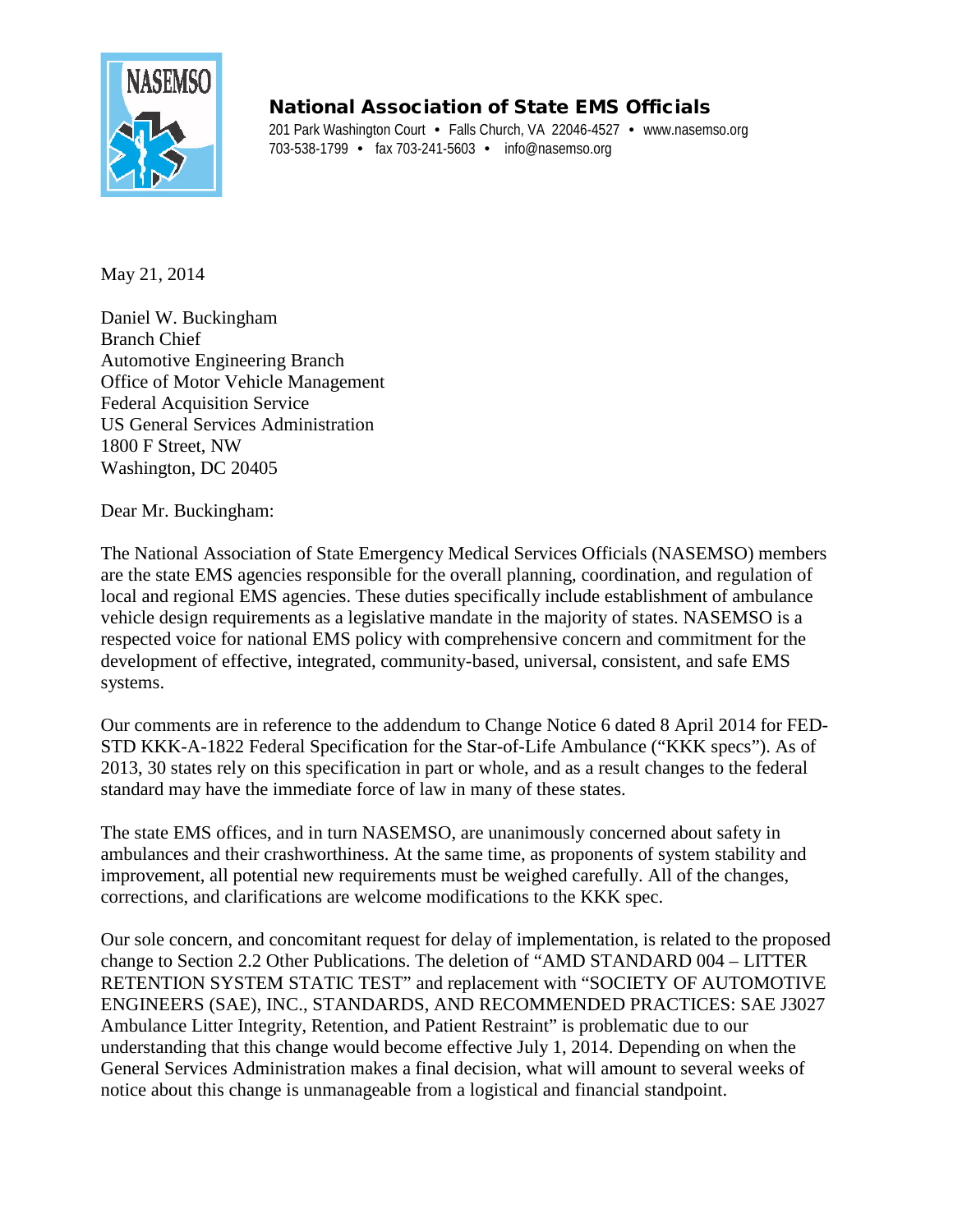

## National Association of State EMS Officials

201 Park Washington Court • Falls Church, VA 22046-4527 • www.nasemso.org 703-538-1799 • fax 703-241-5603 • info@nasemso.org

May 21, 2014

Daniel W. Buckingham Branch Chief Automotive Engineering Branch Office of Motor Vehicle Management Federal Acquisition Service US General Services Administration 1800 F Street, NW Washington, DC 20405

Dear Mr. Buckingham:

The National Association of State Emergency Medical Services Officials (NASEMSO) members are the state EMS agencies responsible for the overall planning, coordination, and regulation of local and regional EMS agencies. These duties specifically include establishment of ambulance vehicle design requirements as a legislative mandate in the majority of states. NASEMSO is a respected voice for national EMS policy with comprehensive concern and commitment for the development of effective, integrated, community-based, universal, consistent, and safe EMS systems.

Our comments are in reference to the addendum to Change Notice 6 dated 8 April 2014 for FED-STD KKK-A-1822 Federal Specification for the Star-of-Life Ambulance ("KKK specs"). As of 2013, 30 states rely on this specification in part or whole, and as a result changes to the federal standard may have the immediate force of law in many of these states.

The state EMS offices, and in turn NASEMSO, are unanimously concerned about safety in ambulances and their crashworthiness. At the same time, as proponents of system stability and improvement, all potential new requirements must be weighed carefully. All of the changes, corrections, and clarifications are welcome modifications to the KKK spec.

Our sole concern, and concomitant request for delay of implementation, is related to the proposed change to Section 2.2 Other Publications. The deletion of "AMD STANDARD 004 – LITTER RETENTION SYSTEM STATIC TEST" and replacement with "SOCIETY OF AUTOMOTIVE ENGINEERS (SAE), INC., STANDARDS, AND RECOMMENDED PRACTICES: SAE J3027 Ambulance Litter Integrity, Retention, and Patient Restraint" is problematic due to our understanding that this change would become effective July 1, 2014. Depending on when the General Services Administration makes a final decision, what will amount to several weeks of notice about this change is unmanageable from a logistical and financial standpoint.